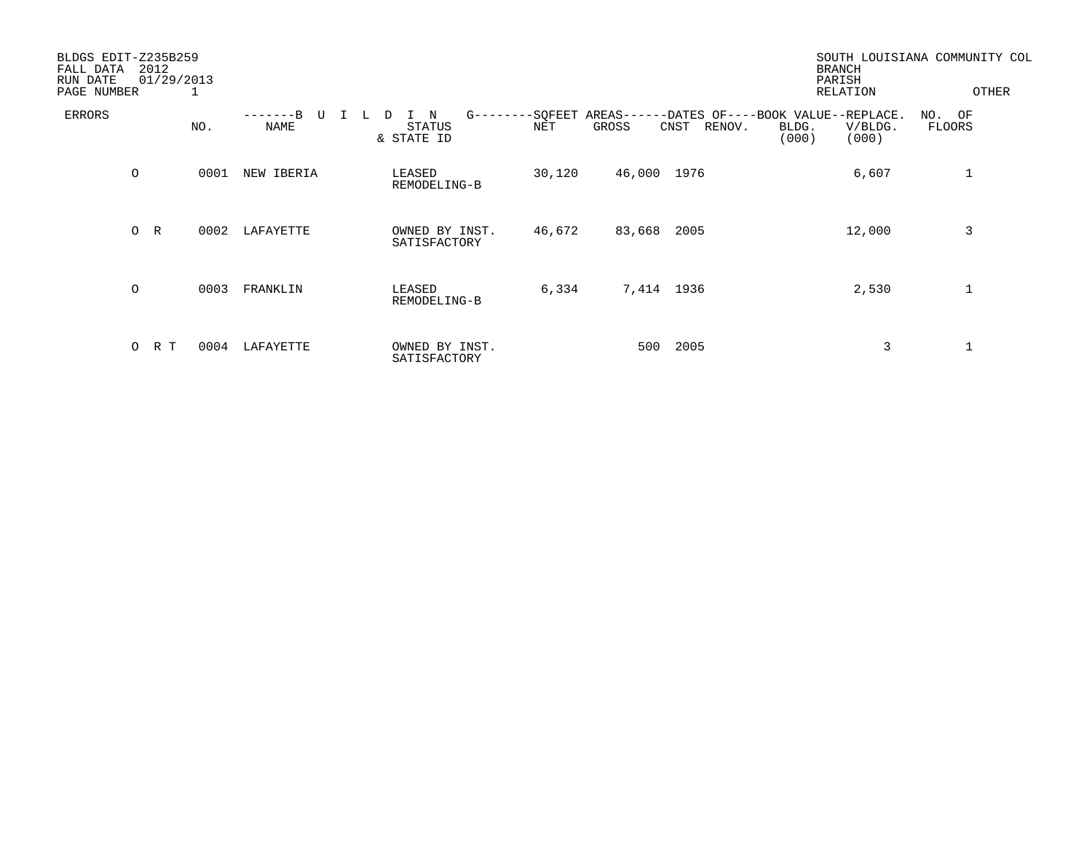| BLDGS EDIT-Z235B259<br>FALL DATA<br>RUN DATE<br>PAGE NUMBER | 2012           | 01/29/2013<br>- 1 |            |                                                 |        |                          |                | <b>BRANCH</b><br>PARISH<br>RELATION                                      | SOUTH LOUISIANA COMMUNITY COL<br>OTHER |
|-------------------------------------------------------------|----------------|-------------------|------------|-------------------------------------------------|--------|--------------------------|----------------|--------------------------------------------------------------------------|----------------------------------------|
| ERRORS                                                      |                | NO.               | NAME       | N<br>$G - - - - -$<br>D<br>STATUS<br>& STATE ID | NET    | -SQFEET AREAS--<br>GROSS | CNST<br>RENOV. | --DATES OF----BOOK VALUE--REPLACE.<br>V/BLDG.<br>BLDG.<br>(000)<br>(000) | NO. OF<br>FLOORS                       |
|                                                             | $\circ$        | 0001              | NEW IBERIA | LEASED<br>REMODELING-B                          | 30,120 | 46,000 1976              |                | 6,607                                                                    | 1                                      |
|                                                             | R<br>$\circ$   | 0002              | LAFAYETTE  | OWNED BY INST.<br>SATISFACTORY                  | 46,672 | 83,668                   | 2005           | 12,000                                                                   | 3                                      |
|                                                             | $\circ$        | 0003              | FRANKLIN   | LEASED<br>REMODELING-B                          | 6,334  |                          | 7,414 1936     | 2,530                                                                    |                                        |
|                                                             | $\circ$<br>R T | 0004              | LAFAYETTE  | OWNED BY INST.<br>SATISFACTORY                  |        | 500                      | 2005           | 3                                                                        |                                        |